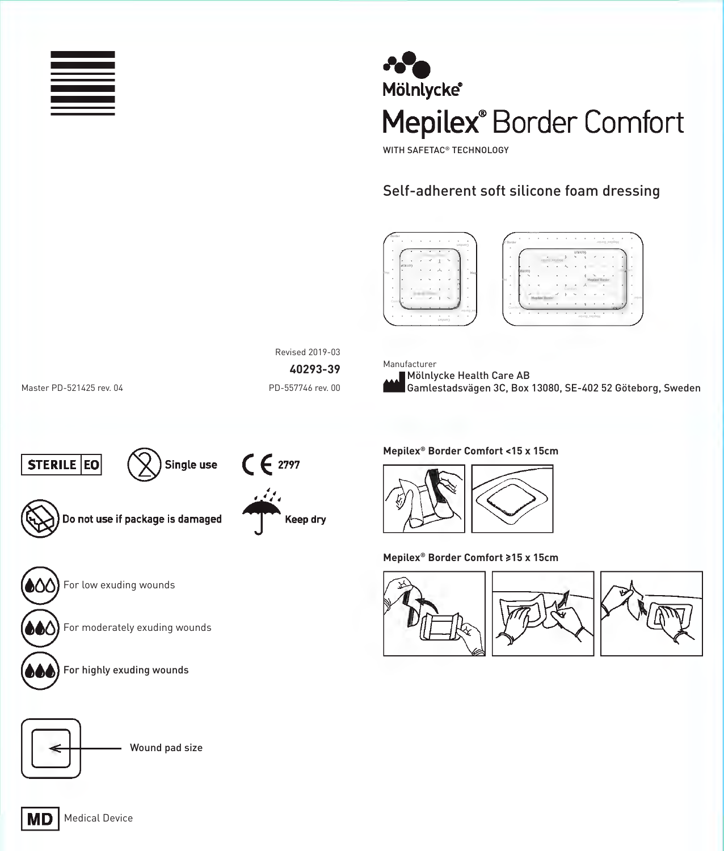



WITH SAFETAC® TECHNOLOGY

# Self-adherent soft silicone foam dressing





Revised 2019-03

**40293-39**

Master PD-521425 rev. 04 PD-557746 rev. 00

Manufacturer

Mölnlycke Health Care AB Gamlestadsvägen 3C, Box 13080, SE-402 52 Göteborg, Sweden







**Mepilex® Border Comfort <15 x 15cm**



**Mepilex® Border Comfort ≥15 x 15cm**







For highly exuding wounds

For moderately exuding wounds

For low exuding wounds



Wound pad size